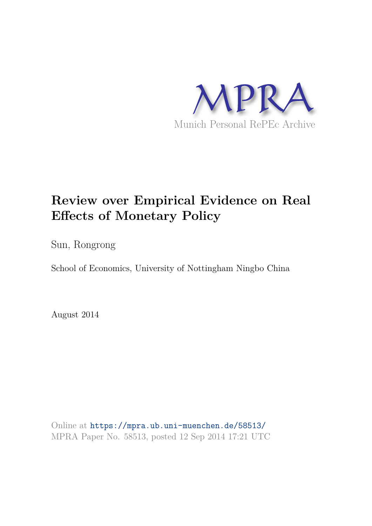

# **Review over Empirical Evidence on Real Effects of Monetary Policy**

Sun, Rongrong

School of Economics, University of Nottingham Ningbo China

August 2014

Online at https://mpra.ub.uni-muenchen.de/58513/ MPRA Paper No. 58513, posted 12 Sep 2014 17:21 UTC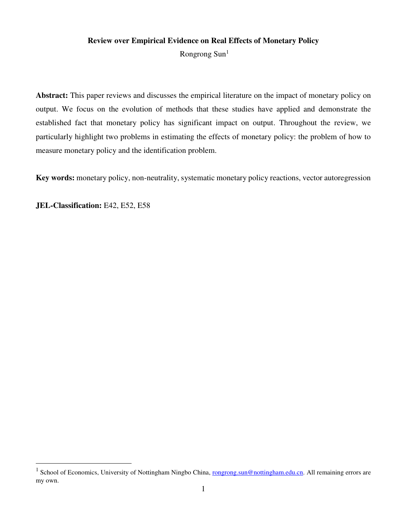# **Review over Empirical Evidence on Real Effects of Monetary Policy**

Rongrong  $Sun<sup>1</sup>$ 

**Abstract:** This paper reviews and discusses the empirical literature on the impact of monetary policy on output. We focus on the evolution of methods that these studies have applied and demonstrate the established fact that monetary policy has significant impact on output. Throughout the review, we particularly highlight two problems in estimating the effects of monetary policy: the problem of how to measure monetary policy and the identification problem.

**Key words:** monetary policy, non-neutrality, systematic monetary policy reactions, vector autoregression

**JEL-Classification:** E42, E52, E58

<sup>&</sup>lt;sup>1</sup> School of Economics, University of Nottingham Ningbo China, [rongrong.sun@nottingham.edu.cn.](mailto:rongrong.sun@nottingham.edu.cn) All remaining errors are my own.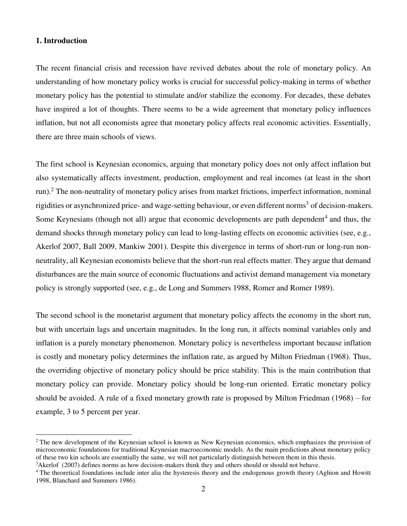### **1. Introduction**

 $\overline{a}$ 

The recent financial crisis and recession have revived debates about the role of monetary policy. An understanding of how monetary policy works is crucial for successful policy-making in terms of whether monetary policy has the potential to stimulate and/or stabilize the economy. For decades, these debates have inspired a lot of thoughts. There seems to be a wide agreement that monetary policy influences inflation, but not all economists agree that monetary policy affects real economic activities. Essentially, there are three main schools of views.

The first school is Keynesian economics, arguing that monetary policy does not only affect inflation but also systematically affects investment, production, employment and real incomes (at least in the short run).<sup>2</sup> The non-neutrality of monetary policy arises from market frictions, imperfect information, nominal rigidities or asynchronized price- and wage-setting behaviour, or even different norms<sup>3</sup> of decision-makers. Some Keynesians (though not all) argue that economic developments are path dependent<sup>4</sup> and thus, the demand shocks through monetary policy can lead to long-lasting effects on economic activities (see, e.g., [Akerlof 2007,](#page-15-0) [Ball 2009,](#page-15-1) [Mankiw 2001\)](#page-16-0). Despite this divergence in terms of short-run or long-run nonneutrality, all Keynesian economists believe that the short-run real effects matter. They argue that demand disturbances are the main source of economic fluctuations and activist demand management via monetary policy is strongly supported (see, e.g., [de Long and Summers 1988,](#page-15-2) [Romer and Romer 1989\)](#page-16-1).

The second school is the monetarist argument that monetary policy affects the economy in the short run, but with uncertain lags and uncertain magnitudes. In the long run, it affects nominal variables only and inflation is a purely monetary phenomenon. Monetary policy is nevertheless important because inflation is costly and monetary policy determines the inflation rate, as argued by Milton Friedman [\(1968\)](#page-15-3). Thus, the overriding objective of monetary policy should be price stability. This is the main contribution that monetary policy can provide. Monetary policy should be long-run oriented. Erratic monetary policy should be avoided. A rule of a fixed monetary growth rate is proposed by Milton Friedman (1968) – for example, 3 to 5 percent per year.

<sup>&</sup>lt;sup>2</sup> The new development of the Keynesian school is known as New Keynesian economics, which emphasizes the provision of microeconomic foundations for traditional Keynesian macroeconomic models. As the main predictions about monetary policy of these two kin schools are essentially the same, we will not particularly distinguish between them in this thesis.

<sup>3</sup>Akerlof [\(2007\)](#page-15-0) defines norms as how decision-makers think they and others should or should not behave.

<sup>&</sup>lt;sup>4</sup> The theoretical foundations include inter alia the hysteresis theory and the endogenous growth theory (Aghion and Howitt [1998,](#page-15-4) [Blanchard and Summers 1986\)](#page-15-5).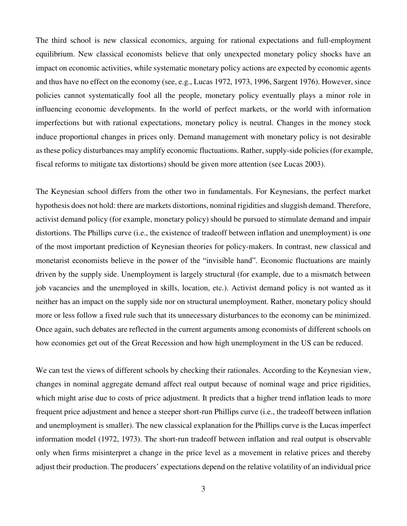The third school is new classical economics, arguing for rational expectations and full-employment equilibrium. New classical economists believe that only unexpected monetary policy shocks have an impact on economic activities, while systematic monetary policy actions are expected by economic agents and thus have no effect on the economy (see, e.g., [Lucas 1972,](#page-16-2) [1973,](#page-16-3) [1996,](#page-16-4) [Sargent 1976\)](#page-16-5). However, since policies cannot systematically fool all the people, monetary policy eventually plays a minor role in influencing economic developments. In the world of perfect markets, or the world with information imperfections but with rational expectations, monetary policy is neutral. Changes in the money stock induce proportional changes in prices only. Demand management with monetary policy is not desirable as these policy disturbances may amplify economic fluctuations. Rather, supply-side policies (for example, fiscal reforms to mitigate tax distortions) should be given more attention [\(see Lucas 2003\)](#page-16-6).

The Keynesian school differs from the other two in fundamentals. For Keynesians, the perfect market hypothesis does not hold: there are markets distortions, nominal rigidities and sluggish demand. Therefore, activist demand policy (for example, monetary policy) should be pursued to stimulate demand and impair distortions. The Phillips curve (i.e., the existence of tradeoff between inflation and unemployment) is one of the most important prediction of Keynesian theories for policy-makers. In contrast, new classical and monetarist economists believe in the power of the "invisible hand". Economic fluctuations are mainly driven by the supply side. Unemployment is largely structural (for example, due to a mismatch between job vacancies and the unemployed in skills, location, etc.). Activist demand policy is not wanted as it neither has an impact on the supply side nor on structural unemployment. Rather, monetary policy should more or less follow a fixed rule such that its unnecessary disturbances to the economy can be minimized. Once again, such debates are reflected in the current arguments among economists of different schools on how economies get out of the Great Recession and how high unemployment in the US can be reduced.

We can test the views of different schools by checking their rationales. According to the Keynesian view, changes in nominal aggregate demand affect real output because of nominal wage and price rigidities, which might arise due to costs of price adjustment. It predicts that a higher trend inflation leads to more frequent price adjustment and hence a steeper short-run Phillips curve (i.e., the tradeoff between inflation and unemployment is smaller). The new classical explanation for the Phillips curve is the Lucas imperfect information model [\(1972,](#page-16-2) [1973\)](#page-16-3). The short-run tradeoff between inflation and real output is observable only when firms misinterpret a change in the price level as a movement in relative prices and thereby adjust their production. The producers' expectations depend on the relative volatility of an individual price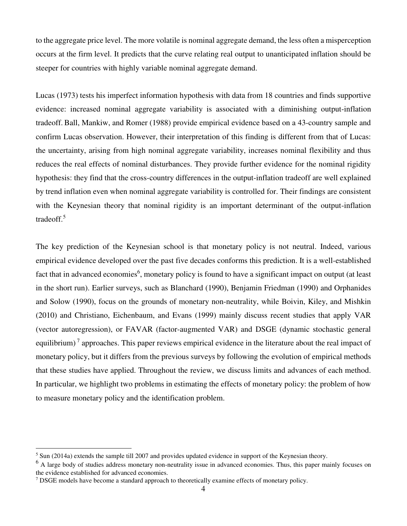to the aggregate price level. The more volatile is nominal aggregate demand, the less often a misperception occurs at the firm level. It predicts that the curve relating real output to unanticipated inflation should be steeper for countries with highly variable nominal aggregate demand.

[Lucas \(1973\)](#page-16-3) tests his imperfect information hypothesis with data from 18 countries and finds supportive evidence: increased nominal aggregate variability is associated with a diminishing output-inflation tradeoff. [Ball, Mankiw, and Romer \(1988\)](#page-15-6) provide empirical evidence based on a 43-country sample and confirm Lucas observation. However, their interpretation of this finding is different from that of Lucas: the uncertainty, arising from high nominal aggregate variability, increases nominal flexibility and thus reduces the real effects of nominal disturbances. They provide further evidence for the nominal rigidity hypothesis: they find that the cross-country differences in the output-inflation tradeoff are well explained by trend inflation even when nominal aggregate variability is controlled for. Their findings are consistent with the Keynesian theory that nominal rigidity is an important determinant of the output-inflation tradeoff.<sup>5</sup>

The key prediction of the Keynesian school is that monetary policy is not neutral. Indeed, various empirical evidence developed over the past five decades conforms this prediction. It is a well-established fact that in advanced economies<sup>6</sup>, monetary policy is found to have a significant impact on output (at least in the short run). Earlier surveys, such as Blanchard [\(1990\)](#page-15-7), Benjamin Friedman [\(1990\)](#page-15-8) and Orphanides and Solow [\(1990\)](#page-16-7), focus on the grounds of monetary non-neutrality, while [Boivin, Kiley, and Mishkin](#page-15-9)  [\(2010\)](#page-15-9) and [Christiano, Eichenbaum, and Evans \(1999\)](#page-15-10) mainly discuss recent studies that apply VAR (vector autoregression), or FAVAR (factor-augmented VAR) and DSGE (dynamic stochastic general equilibrium)<sup>7</sup> approaches. This paper reviews empirical evidence in the literature about the real impact of monetary policy, but it differs from the previous surveys by following the evolution of empirical methods that these studies have applied. Throughout the review, we discuss limits and advances of each method. In particular, we highlight two problems in estimating the effects of monetary policy: the problem of how to measure monetary policy and the identification problem.

<sup>&</sup>lt;sup>5</sup> [Sun \(2014a\)](#page-16-8) extends the sample till 2007 and provides updated evidence in support of the Keynesian theory.

 $<sup>6</sup>$  A large body of studies address monetary non-neutrality issue in advanced economies. Thus, this paper mainly focuses on</sup> the evidence established for advanced economies.

<sup>&</sup>lt;sup>7</sup> DSGE models have become a standard approach to theoretically examine effects of monetary policy.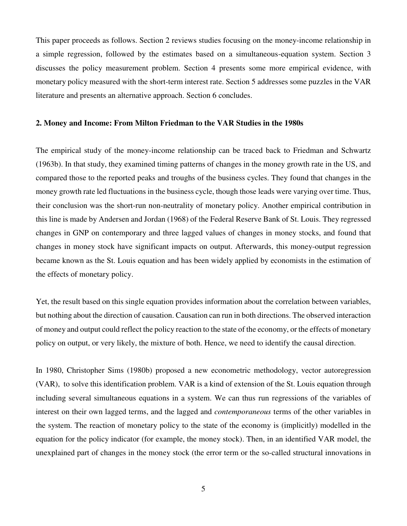This paper proceeds as follows. Section 2 reviews studies focusing on the money-income relationship in a simple regression, followed by the estimates based on a simultaneous-equation system. Section 3 discusses the policy measurement problem. Section 4 presents some more empirical evidence, with monetary policy measured with the short-term interest rate. Section 5 addresses some puzzles in the VAR literature and presents an alternative approach. Section 6 concludes.

#### **2. Money and Income: From Milton Friedman to the VAR Studies in the 1980s**

The empirical study of the money-income relationship can be traced back to Friedman and Schwartz [\(1963b\)](#page-15-11). In that study, they examined timing patterns of changes in the money growth rate in the US, and compared those to the reported peaks and troughs of the business cycles. They found that changes in the money growth rate led fluctuations in the business cycle, though those leads were varying over time. Thus, their conclusion was the short-run non-neutrality of monetary policy. Another empirical contribution in this line is made by Andersen and Jordan [\(1968\)](#page-15-12) of the Federal Reserve Bank of St. Louis. They regressed changes in GNP on contemporary and three lagged values of changes in money stocks, and found that changes in money stock have significant impacts on output. Afterwards, this money-output regression became known as the St. Louis equation and has been widely applied by economists in the estimation of the effects of monetary policy.

Yet, the result based on this single equation provides information about the correlation between variables, but nothing about the direction of causation. Causation can run in both directions. The observed interaction of money and output could reflect the policy reaction to the state of the economy, or the effects of monetary policy on output, or very likely, the mixture of both. Hence, we need to identify the causal direction.

In 1980, Christopher Sims [\(1980b\)](#page-16-9) proposed a new econometric methodology, vector autoregression (VAR), to solve this identification problem. VAR is a kind of extension of the St. Louis equation through including several simultaneous equations in a system. We can thus run regressions of the variables of interest on their own lagged terms, and the lagged and *contemporaneous* terms of the other variables in the system. The reaction of monetary policy to the state of the economy is (implicitly) modelled in the equation for the policy indicator (for example, the money stock). Then, in an identified VAR model, the unexplained part of changes in the money stock (the error term or the so-called structural innovations in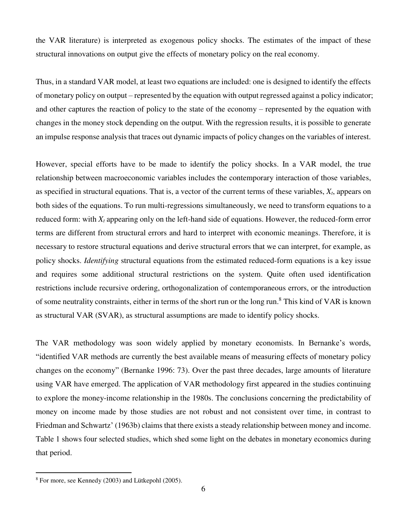the VAR literature) is interpreted as exogenous policy shocks. The estimates of the impact of these structural innovations on output give the effects of monetary policy on the real economy.

Thus, in a standard VAR model, at least two equations are included: one is designed to identify the effects of monetary policy on output – represented by the equation with output regressed against a policy indicator; and other captures the reaction of policy to the state of the economy – represented by the equation with changes in the money stock depending on the output. With the regression results, it is possible to generate an impulse response analysis that traces out dynamic impacts of policy changes on the variables of interest.

However, special efforts have to be made to identify the policy shocks. In a VAR model, the true relationship between macroeconomic variables includes the contemporary interaction of those variables, as specified in structural equations. That is, a vector of the current terms of these variables, *Xt*, appears on both sides of the equations. To run multi-regressions simultaneously, we need to transform equations to a reduced form: with  $X_t$  appearing only on the left-hand side of equations. However, the reduced-form error terms are different from structural errors and hard to interpret with economic meanings. Therefore, it is necessary to restore structural equations and derive structural errors that we can interpret, for example, as policy shocks. *Identifying* structural equations from the estimated reduced-form equations is a key issue and requires some additional structural restrictions on the system. Quite often used identification restrictions include recursive ordering, orthogonalization of contemporaneous errors, or the introduction of some neutrality constraints, either in terms of the short run or the long run.<sup>8</sup> This kind of VAR is known as structural VAR (SVAR), as structural assumptions are made to identify policy shocks.

The VAR methodology was soon widely applied by monetary economists. In Bernanke's words, "identified VAR methods are currently the best available means of measuring effects of monetary policy changes on the economy" [\(Bernanke 1996: 73\)](#page-15-13). Over the past three decades, large amounts of literature using VAR have emerged. The application of VAR methodology first appeared in the studies continuing to explore the money-income relationship in the 1980s. The conclusions concerning the predictability of money on income made by those studies are not robust and not consistent over time, in contrast to Friedman and Schwartz' [\(1963b\)](#page-15-11) claims that there exists a steady relationship between money and income. Table 1 shows four selected studies, which shed some light on the debates in monetary economics during that period.

 8 For more, see Kennedy [\(2003\)](#page-16-10) an[d Lütkepohl \(2005\)](#page-16-11).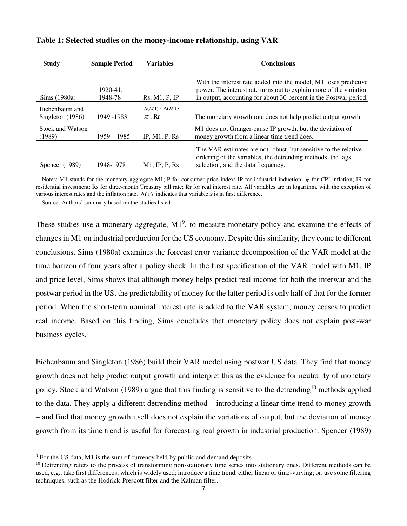| <b>Study</b>                       | <b>Sample Period</b>     | <b>Variables</b>                            | <b>Conclusions</b>                                                                                                                                                                                           |
|------------------------------------|--------------------------|---------------------------------------------|--------------------------------------------------------------------------------------------------------------------------------------------------------------------------------------------------------------|
| Sims (1980a)                       | $1920 - 41$ ;<br>1948-78 | Rs, M1, P, IP                               | With the interest rate added into the model, M1 loses predictive<br>power. The interest rate turns out to explain more of the variation<br>in output, accounting for about 30 percent in the Postwar period. |
| Eichenbaum and<br>Singleton (1986) | 1949 - 1983              | $\Delta(M1)$ , $\Delta/IP$ ),<br>$\pi$ , Rr | The monetary growth rate does not help predict output growth.                                                                                                                                                |
| Stock and Watson<br>(1989)         | $1959 - 1985$            | IP, M $1, P, Rs$                            | M1 does not Granger-cause IP growth, but the deviation of<br>money growth from a linear time trend does.                                                                                                     |
| Spencer $(1989)$                   | 1948-1978                | $M1$ , IP, P, Rs                            | The VAR estimates are not robust, but sensitive to the relative<br>ordering of the variables, the detrending methods, the lags<br>selection, and the data frequency.                                         |

## **Table 1: Selected studies on the money-income relationship, using VAR**

Notes: M1 stands for the monetary aggregate M1; P for consumer price index; IP for industrial induction;  $\pi$  for CPI-inflation; IR for residential investment; Rs for three-month Treasury bill rate; Rr for real interest rate. All variables are in logarithm, with the exception of various interest rates and the inflation rate.  $\Delta(x)$  indicates that variable *x* is in first difference.

Source: Authors' summary based on the studies listed.

These studies use a monetary aggregate,  $M1<sup>9</sup>$ , to measure monetary policy and examine the effects of changes in M1 on industrial production for the US economy. Despite this similarity, they come to different conclusions. Sims [\(1980a\)](#page-16-12) examines the forecast error variance decomposition of the VAR model at the time horizon of four years after a policy shock. In the first specification of the VAR model with M1, IP and price level, Sims shows that although money helps predict real income for both the interwar and the postwar period in the US, the predictability of money for the latter period is only half of that for the former period. When the short-term nominal interest rate is added to the VAR system, money ceases to predict real income. Based on this finding, Sims concludes that monetary policy does not explain post-war business cycles.

Eichenbaum and Singleton [\(1986\)](#page-15-14) build their VAR model using postwar US data. They find that money growth does not help predict output growth and interpret this as the evidence for neutrality of monetary policy. Stock and Watson [\(1989\)](#page-16-13) argue that this finding is sensitive to the detrending<sup>10</sup> methods applied to the data. They apply a different detrending method – introducing a linear time trend to money growth – and find that money growth itself does not explain the variations of output, but the deviation of money growth from its time trend is useful for forecasting real growth in industrial production. Spencer [\(1989\)](#page-16-14)

<sup>&</sup>lt;sup>9</sup> For the US data, M1 is the sum of currency held by public and demand deposits.

<sup>&</sup>lt;sup>10</sup> Detrending refers to the process of transforming non-stationary time series into stationary ones. Different methods can be used, e.g., take first differences, which is widely used; introduce a time trend, either linear or time-varying; or, use some filtering techniques, such as the Hodrick-Prescott filter and the Kalman filter.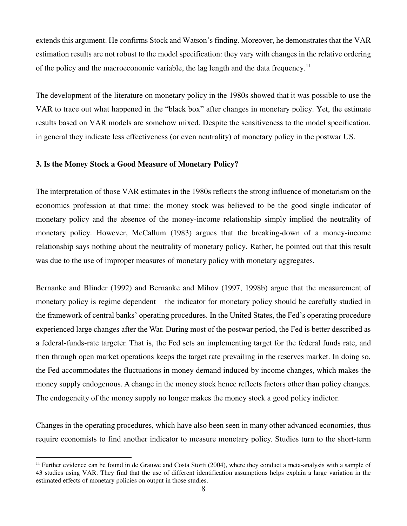extends this argument. He confirms Stock and Watson's finding. Moreover, he demonstrates that the VAR estimation results are not robust to the model specification: they vary with changes in the relative ordering of the policy and the macroeconomic variable, the lag length and the data frequency.<sup>11</sup>

The development of the literature on monetary policy in the 1980s showed that it was possible to use the VAR to trace out what happened in the "black box" after changes in monetary policy. Yet, the estimate results based on VAR models are somehow mixed. Despite the sensitiveness to the model specification, in general they indicate less effectiveness (or even neutrality) of monetary policy in the postwar US.

# **3. Is the Money Stock a Good Measure of Monetary Policy?**

 $\overline{a}$ 

The interpretation of those VAR estimates in the 1980s reflects the strong influence of monetarism on the economics profession at that time: the money stock was believed to be the good single indicator of monetary policy and the absence of the money-income relationship simply implied the neutrality of monetary policy. However, McCallum [\(1983\)](#page-16-15) argues that the breaking-down of a money-income relationship says nothing about the neutrality of monetary policy. Rather, he pointed out that this result was due to the use of improper measures of monetary policy with monetary aggregates.

Bernanke and Blinder [\(1992\)](#page-15-15) and Bernanke and Mihov [\(1997,](#page-15-16) [1998b\)](#page-15-17) argue that the measurement of monetary policy is regime dependent – the indicator for monetary policy should be carefully studied in the framework of central banks' operating procedures. In the United States, the Fed's operating procedure experienced large changes after the War. During most of the postwar period, the Fed is better described as a federal-funds-rate targeter. That is, the Fed sets an implementing target for the federal funds rate, and then through open market operations keeps the target rate prevailing in the reserves market. In doing so, the Fed accommodates the fluctuations in money demand induced by income changes, which makes the money supply endogenous. A change in the money stock hence reflects factors other than policy changes. The endogeneity of the money supply no longer makes the money stock a good policy indictor.

Changes in the operating procedures, which have also been seen in many other advanced economies, thus require economists to find another indicator to measure monetary policy. Studies turn to the short-term

 $11$  Further evidence can be found in de Grauwe and Costa Storti [\(2004\)](#page-15-18), where they conduct a meta-analysis with a sample of 43 studies using VAR. They find that the use of different identification assumptions helps explain a large variation in the estimated effects of monetary policies on output in those studies.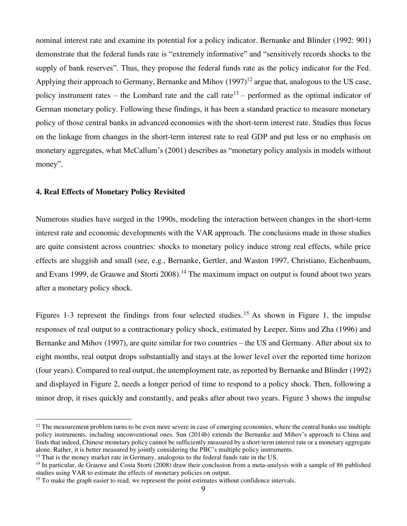nominal interest rate and examine its potential for a policy indicator. Bernanke and Blinder [\(1992: 901\)](#page-15-15) demonstrate that the federal funds rate is "extremely informative" and "sensitively records shocks to the supply of bank reserves". Thus, they propose the federal funds rate as the policy indicator for the Fed. Applying their approach to Germany, Bernanke and Mihov  $(1997)^{12}$  $(1997)^{12}$  argue that, analogous to the US case, policy instrument rates – the Lombard rate and the call rate<sup>13</sup> – performed as the optimal indicator of German monetary policy. Following these findings, it has been a standard practice to measure monetary policy of those central banks in advanced economies with the short-term interest rate. Studies thus focus on the linkage from changes in the short-term interest rate to real GDP and put less or no emphasis on monetary aggregates, what McCallum's [\(2001\)](#page-16-16) describes as "monetary policy analysis in models without money".

## **4. Real Effects of Monetary Policy Revisited**

 $\overline{a}$ 

Numerous studies have surged in the 1990s, modeling the interaction between changes in the short-term interest rate and economic developments with the VAR approach. The conclusions made in those studies are quite consistent across countries: shocks to monetary policy induce strong real effects, while price effects are sluggish and small (see, e.g., [Bernanke, Gertler, and Waston 1997,](#page-15-19) [Christiano, Eichenbaum,](#page-15-10)  [and Evans 1999,](#page-15-10) [de Grauwe and Storti 2008\)](#page-15-20).<sup>14</sup> The maximum impact on output is found about two years after a monetary policy shock.

Figures 1-3 represent the findings from four selected studies.<sup>15</sup> As shown in Figure 1, the impulse responses of real output to a contractionary policy shock, estimated by Leeper, Sims and Zha [\(1996\)](#page-16-17) and Bernanke and Mihov [\(1997\)](#page-15-16), are quite similar for two countries – the US and Germany. After about six to eight months, real output drops substantially and stays at the lower level over the reported time horizon (four years). Compared to real output, the unemployment rate, as reported by Bernanke and Blinder [\(1992\)](#page-15-15) and displayed in Figure 2, needs a longer period of time to respond to a policy shock. Then, following a minor drop, it rises quickly and constantly, and peaks after about two years. Figure 3 shows the impulse

 $12$  The measurement problem turns to be even more severe in case of emerging economies, where the central banks use multiple policy instruments, including unconventional ones. [Sun \(2014b\)](#page-16-18) extends the Bernanke and Mihov's approach to China and finds that indeed, Chinese monetary policy cannot be sufficiently measured by a short-term interest rate or a monetary aggregate alone. Rather, it is better measured by jointly considering the PBC's multiple policy instruments.

<sup>&</sup>lt;sup>13</sup> That is the money market rate in Germany, analogous to the federal funds rate in the US.

<sup>&</sup>lt;sup>14</sup> In particular, de Grauwe and Costa Storti (2008) draw their conclusion from a meta-analysis with a sample of 86 published studies using VAR to estimate the effects of monetary policies on output.

<sup>&</sup>lt;sup>15</sup> To make the graph easier to read, we represent the point estimates without confidence intervals.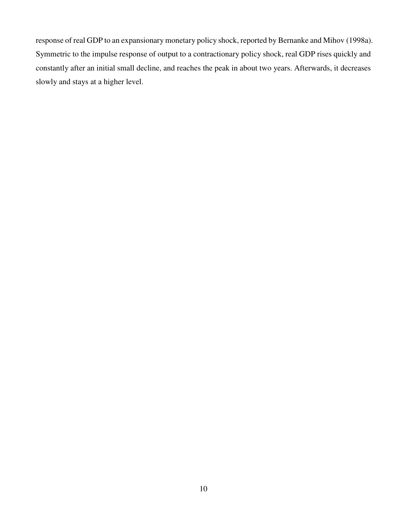response of real GDP to an expansionary monetary policy shock, reported by Bernanke and Mihov [\(1998a\)](#page-15-21). Symmetric to the impulse response of output to a contractionary policy shock, real GDP rises quickly and constantly after an initial small decline, and reaches the peak in about two years. Afterwards, it decreases slowly and stays at a higher level.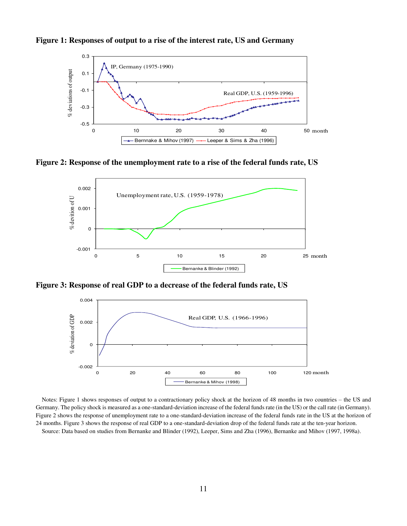

**Figure 1: Responses of output to a rise of the interest rate, US and Germany** 





**Figure 3: Response of real GDP to a decrease of the federal funds rate, US** 



Notes: Figure 1 shows responses of output to a contractionary policy shock at the horizon of 48 months in two countries – the US and Germany. The policy shock is measured as a one-standard-deviation increase of the federal funds rate (in the US) or the call rate (in Germany). Figure 2 shows the response of unemployment rate to a one-standard-deviation increase of the federal funds rate in the US at the horizon of 24 months. Figure 3 shows the response of real GDP to a one-standard-deviation drop of the federal funds rate at the ten-year horizon.

Source: Data based on studies from Bernanke and Blinder (1992), Leeper, Sims and Zha (1996), Bernanke and Mihov (1997, 1998a).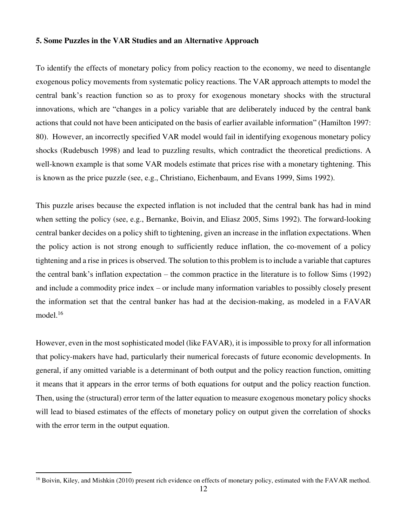### **5. Some Puzzles in the VAR Studies and an Alternative Approach**

To identify the effects of monetary policy from policy reaction to the economy, we need to disentangle exogenous policy movements from systematic policy reactions. The VAR approach attempts to model the central bank's reaction function so as to proxy for exogenous monetary shocks with the structural innovations, which are "changes in a policy variable that are deliberately induced by the central bank actions that could not have been anticipated on the basis of earlier available information" [\(Hamilton 1997:](#page-16-19)  [80\)](#page-16-19). However, an incorrectly specified VAR model would fail in identifying exogenous monetary policy shocks [\(Rudebusch 1998\)](#page-16-20) and lead to puzzling results, which contradict the theoretical predictions. A well-known example is that some VAR models estimate that prices rise with a monetary tightening. This is known as the price puzzle (see, e.g., [Christiano, Eichenbaum, and Evans 1999,](#page-15-10) [Sims 1992\)](#page-16-21).

This puzzle arises because the expected inflation is not included that the central bank has had in mind when setting the policy (see, e.g., [Bernanke, Boivin, and Eliasz 2005,](#page-15-22) [Sims 1992\)](#page-16-21). The forward-looking central banker decides on a policy shift to tightening, given an increase in the inflation expectations. When the policy action is not strong enough to sufficiently reduce inflation, the co-movement of a policy tightening and a rise in prices is observed. The solution to this problem is to include a variable that captures the central bank's inflation expectation – the common practice in the literature is to follow Sims (1992) and include a commodity price index – or include many information variables to possibly closely present the information set that the central banker has had at the decision-making, as modeled in a FAVAR model.<sup>16</sup>

However, even in the most sophisticated model (like FAVAR), it is impossible to proxy for all information that policy-makers have had, particularly their numerical forecasts of future economic developments. In general, if any omitted variable is a determinant of both output and the policy reaction function, omitting it means that it appears in the error terms of both equations for output and the policy reaction function. Then, using the (structural) error term of the latter equation to measure exogenous monetary policy shocks will lead to biased estimates of the effects of monetary policy on output given the correlation of shocks with the error term in the output equation.

<sup>&</sup>lt;sup>16</sup> [Boivin, Kiley, and Mishkin \(2010\)](#page-15-9) present rich evidence on effects of monetary policy, estimated with the FAVAR method.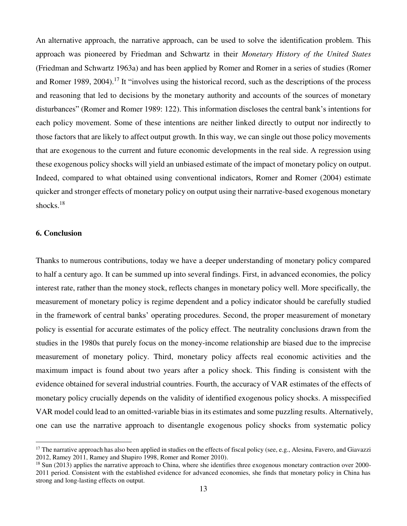An alternative approach, the narrative approach, can be used to solve the identification problem. This approach was pioneered by Friedman and Schwartz in their *Monetary History of the United States* [\(Friedman and Schwartz 1963a\)](#page-15-23) and has been applied by Romer and Romer in a series of studies [\(Romer](#page-16-1)  [and Romer 1989,](#page-16-1) [2004\)](#page-16-22).<sup>17</sup> It "involves using the historical record, such as the descriptions of the process and reasoning that led to decisions by the monetary authority and accounts of the sources of monetary disturbances" [\(Romer and Romer 1989: 122\)](#page-16-1). This information discloses the central bank's intentions for each policy movement. Some of these intentions are neither linked directly to output nor indirectly to those factors that are likely to affect output growth. In this way, we can single out those policy movements that are exogenous to the current and future economic developments in the real side. A regression using these exogenous policy shocks will yield an unbiased estimate of the impact of monetary policy on output. Indeed, compared to what obtained using conventional indicators, Romer and Romer (2004) estimate quicker and stronger effects of monetary policy on output using their narrative-based exogenous monetary shocks.<sup>18</sup>

### **6. Conclusion**

 $\overline{a}$ 

Thanks to numerous contributions, today we have a deeper understanding of monetary policy compared to half a century ago. It can be summed up into several findings. First, in advanced economies, the policy interest rate, rather than the money stock, reflects changes in monetary policy well. More specifically, the measurement of monetary policy is regime dependent and a policy indicator should be carefully studied in the framework of central banks' operating procedures. Second, the proper measurement of monetary policy is essential for accurate estimates of the policy effect. The neutrality conclusions drawn from the studies in the 1980s that purely focus on the money-income relationship are biased due to the imprecise measurement of monetary policy. Third, monetary policy affects real economic activities and the maximum impact is found about two years after a policy shock. This finding is consistent with the evidence obtained for several industrial countries. Fourth, the accuracy of VAR estimates of the effects of monetary policy crucially depends on the validity of identified exogenous policy shocks. A misspecified VAR model could lead to an omitted-variable bias in its estimates and some puzzling results. Alternatively, one can use the narrative approach to disentangle exogenous policy shocks from systematic policy

<sup>&</sup>lt;sup>17</sup> The narrative approach has also been applied in studies on the effects of fiscal policy (see, e.g., Alesina, Favero, and Giavazzi [2012,](#page-15-24) [Ramey 2011,](#page-16-23) [Ramey and Shapiro 1998,](#page-16-24) [Romer and Romer 2010\)](#page-16-25).

<sup>&</sup>lt;sup>18</sup> [Sun \(2013\)](#page-16-26) applies the narrative approach to China, where she identifies three exogenous monetary contraction over 2000-2011 period. Consistent with the established evidence for advanced economies, she finds that monetary policy in China has strong and long-lasting effects on output.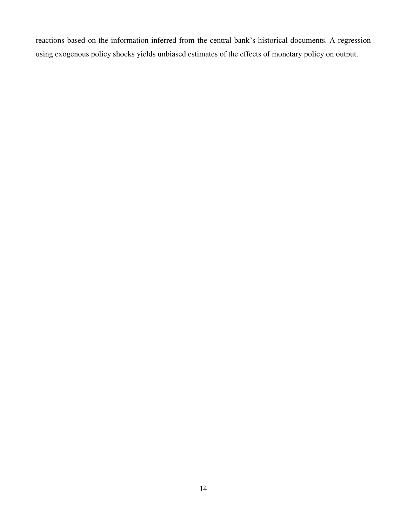reactions based on the information inferred from the central bank's historical documents. A regression using exogenous policy shocks yields unbiased estimates of the effects of monetary policy on output.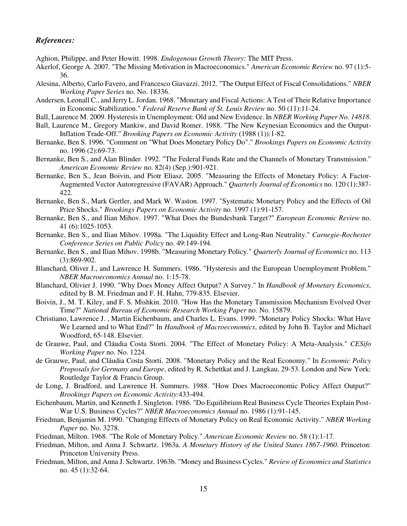# *References:*

<span id="page-15-4"></span>Aghion, Philippe, and Peter Howitt. 1998. *Endogenous Growth Theory*: The MIT Press.

- <span id="page-15-0"></span>Akerlof, George A. 2007. "The Missing Motivation in Macroeconomics." *American Economic Review* no. 97 (1):5- 36.
- <span id="page-15-24"></span>Alesina, Alberto, Carlo Favero, and Francesco Giavazzi. 2012. "The Output Effect of Fiscal Consolidations." *NBER Working Paper Series* no. No. 18336.
- <span id="page-15-12"></span>Andersen, Leonall C., and Jerry L. Jordan. 1968. "Monetary and Fiscal Actions: A Test of Their Relative Importance in Economic Stabilization." *Federal Reserve Bank of St. Louis Review* no. 50 (11):11-24.
- <span id="page-15-1"></span>Ball, Laurence M. 2009. Hysteresis in Unemployment: Old and New Evidence. In *NBER Working Paper No. 14818*.
- <span id="page-15-6"></span>Ball, Laurence M., Gregory Mankiw, and David Romer. 1988. "The New Keynesian Economics and the Output-Inflation Trade-Off." *Brooking Papers on Economic Activity* (1988 (1)):1-82.
- <span id="page-15-13"></span>Bernanke, Ben S. 1996. "Comment on "What Does Monetary Policy Do"." *Brookings Papers on Economic Activity* no. 1996 (2):69-73.
- <span id="page-15-15"></span>Bernanke, Ben S., and Alan Blinder. 1992. "The Federal Funds Rate and the Channels of Monetary Transmission." *American Economic Review* no. 82(4) (Sep.):901-921.
- <span id="page-15-22"></span>Bernanke, Ben S., Jean Boivin, and Piotr Eliasz. 2005. "Measuring the Effects of Monetary Policy: A Factor-Augmented Vector Autoregressive (FAVAR) Approach." *Quarterly Journal of Economics* no. 120 (1):387- 422.
- <span id="page-15-19"></span>Bernanke, Ben S., Mark Gertler, and Mark W. Waston. 1997. "Systematic Monetary Policy and the Effects of Oil Price Shocks." *Brookings Papers on Economic Activity* no. 1997 (1):91-157.
- <span id="page-15-16"></span>Bernanke, Ben S., and Ilian Mihov. 1997. "What Does the Bundesbank Target?" *European Economic Review* no. 41 (6):1025-1053.
- <span id="page-15-21"></span>Bernanke, Ben S., and Ilian Mihov. 1998a. "The Liquidity Effect and Long-Run Neutrality." *Carnegie-Rochester Conference Series on Public Policy* no. 49:149-194.
- <span id="page-15-17"></span>Bernanke, Ben S., and Ilian Mihov. 1998b. "Measuring Monetary Policy." *Quarterly Journal of Economics* no. 113 (3):869-902.
- <span id="page-15-5"></span>Blanchard, Oliver J., and Lawrence H. Summers. 1986. "Hysteresis and the European Unemployment Problem." *NBER Macroeconomics Annual* no. 1:15-78.
- <span id="page-15-7"></span>Blanchard, Olivier J. 1990. "Why Does Money Affect Output? A Survey." In *Handbook of Monetary Economics*, edited by B. M. Friedman and F. H. Hahn, 779-835. Elsevier.
- <span id="page-15-9"></span>Boivin, J., M. T. Kiley, and F. S. Mishkin. 2010. "How Has the Monetary Tansmission Mechanism Evolved Over Time?" *National Bureau of Economic Research Working Paper* no. No. 15879.
- <span id="page-15-10"></span>Christiano, Lawrence J. , Martin Eichenbaum, and Charles L. Evans. 1999. "Monetary Policy Shocks: What Have We Learned and to What End?" In *Handbook of Macroeconomics*, edited by John B. Taylor and Michael Woodford, 65-148. Elsevier.
- <span id="page-15-18"></span>de Grauwe, Paul, and Cláudia Costa Storti. 2004. "The Effect of Monetary Policy: A Meta-Analysis." *CESifo Working Paper* no. No. 1224.
- <span id="page-15-20"></span>de Grauwe, Paul, and Cláudia Costa Storti. 2008. "Monetary Policy and the Real Economy." In *Economic Policy Proposals for Germany and Europe*, edited by R. Schettkat and J. Langkau, 29-53. London and New York: Routledge Taylor & Francis Group.
- <span id="page-15-2"></span>de Long, J. Bradford, and Lawrence H. Summers. 1988. "How Does Macroeconomic Policy Affect Output?" *Brookings Papers on Economic Activity*:433-494.
- <span id="page-15-14"></span>Eichenbaum, Martin, and Kenneth J. Singleton. 1986. "Do Equilibrium Real Business Cycle Theories Explain Post-War U.S. Business Cycles?" *NBER Macroeconomics Annual* no. 1986 (1):91-145.
- <span id="page-15-8"></span>Friedman, Benjamin M. 1990. "Changing Effects of Monetary Policy on Real Economic Activity." *NBER Working Paper* no. No. 3278.
- <span id="page-15-3"></span>Friedman, Milton. 1968. "The Role of Monetary Policy." *American Economic Review* no. 58 (1):1-17.
- <span id="page-15-23"></span>Friedman, Milton, and Anna J. Schwartz. 1963a. *A Monetary History of the United States 1867-1960*. Princeton: Princeton University Press.
- <span id="page-15-11"></span>Friedman, Milton, and Anna J. Schwartz. 1963b. "Money and Business Cycles." *Review of Economics and Statistics* no. 45 (1):32-64.